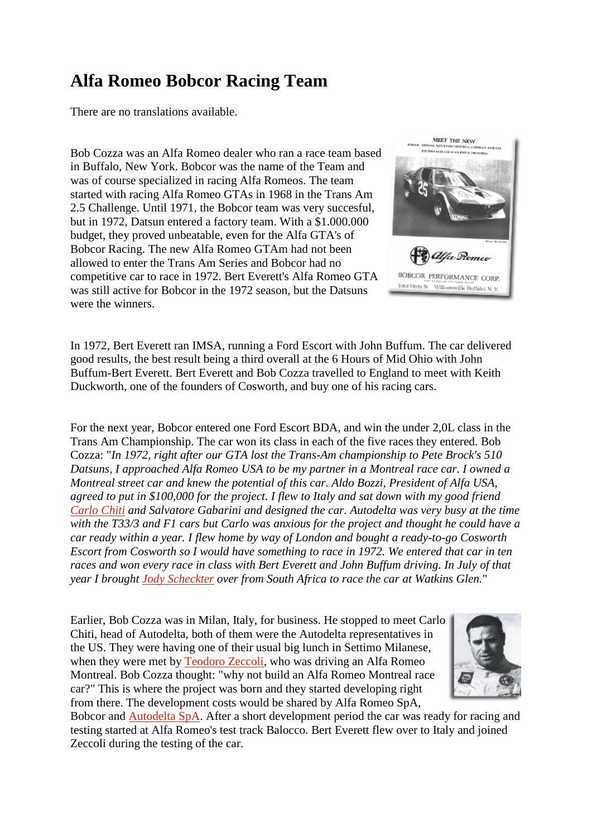## **Alfa Romeo Bobcor Racing Team**

There are no translations available.

Bob Cozza was an Alfa Romeo dealer who ran a race team based in Buffalo, New York. Bobcor was the name of the Team and was of course specialized in racing Alfa Romeos. The team started with racing Alfa Romeo GTAs in 1968 in the Trans Am 2.5 Challenge. Until 1971, the Bobcor team was very succesful, but in 1972, Datsun entered a factory team. With a \$1.000.000 budget, they proved unbeatable, even for the Alfa GTA's of Bobcor Racing. The new Alfa Romeo GTAm had not been allowed to enter the Trans Am Series and Bobcor had no competitive car to race in 1972. Bert Everett's Alfa Romeo GTA was still active for Bobcor in the 1972 season, but the Datsuns were the winners.



In 1972, Bert Everett ran IMSA, running a Ford Escort with John Buffum. The car delivered good results, the best result being a third overall at the 6 Hours of Mid Ohio with John Buffum-Bert Everett. Bert Everett and Bob Cozza travelled to England to meet with Keith Duckworth, one of the founders of Cosworth, and buy one of his racing cars.

For the next year, Bobcor entered one Ford Escort BDA, and win the under 2,0L class in the Trans Am Championship. The car won its class in each of the five races they entered. Bob Cozza: "*In 1972, right after our GTA lost the Trans-Am championship to Pete Brock's 510 Datsuns, I approached Alfa Romeo USA to be my partner in a Montreal race car. I owned a Montreal street car and knew the potential of this car. Aldo Bozzi, President of Alfa USA, agreed to put in \$100,000 for the project. I flew to Italy and sat down with my good friend [Carlo Chiti](http://www.alfa-models.com/index.php?option=com_content&view=article&id=87&Itemid=90&lang=en) and Salvatore Gabarini and designed the car. Autodelta was very busy at the time with the T33/3 and F1 cars but Carlo was anxious for the project and thought he could have a car ready within a year. I flew home by way of London and bought a ready-to-go Cosworth Escort from Cosworth so I would have something to race in 1972. We entered that car in ten races and won every race in class with Bert Everett and John Buffum driving. In July of that year I brought [Jody Scheckter](http://www.alfa-models.com/index.php?option=com_content&view=article&id=121&Itemid=92&lang=en) over from South Africa to race the car at Watkins Glen.*"

Earlier, Bob Cozza was in Milan, Italy, for business. He stopped to meet Carlo Chiti, head of Autodelta, both of them were the Autodelta representatives in the US. They were having one of their usual big lunch in Settimo Milanese, when they were met by [Teodoro Zeccoli,](http://www.alfa-models.com/index.php?option=com_content&view=article&id=121&Itemid=92&lang=en) who was driving an Alfa Romeo Montreal. Bob Cozza thought: "why not build an Alfa Romeo Montreal race car?" This is where the project was born and they started developing right from there. The development costs would be shared by Alfa Romeo SpA,



Bobcor and [Autodelta SpA.](http://www.alfa-models.com/index.php?option=com_content&view=article&id=179&Itemid=90&lang=en) After a short development period the car was ready for racing and testing started at Alfa Romeo's test track Balocco. Bert Everett flew over to Italy and joined Zeccoli during the testing of the car.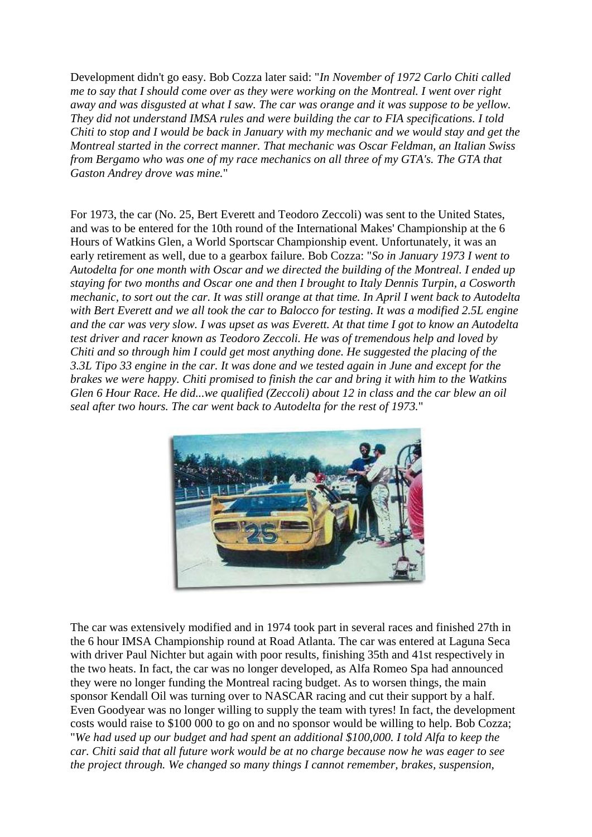Development didn't go easy. Bob Cozza later said: "*In November of 1972 Carlo Chiti called me to say that I should come over as they were working on the Montreal. I went over right away and was disgusted at what I saw. The car was orange and it was suppose to be yellow. They did not understand IMSA rules and were building the car to FIA specifications. I told Chiti to stop and I would be back in January with my mechanic and we would stay and get the Montreal started in the correct manner. That mechanic was Oscar Feldman, an Italian Swiss from Bergamo who was one of my race mechanics on all three of my GTA's. The GTA that Gaston Andrey drove was mine.*"

For 1973, the car (No. 25, Bert Everett and Teodoro Zeccoli) was sent to the United States, and was to be entered for the 10th round of the International Makes' Championship at the 6 Hours of Watkins Glen, a World Sportscar Championship event. Unfortunately, it was an early retirement as well, due to a gearbox failure. Bob Cozza: "*So in January 1973 I went to Autodelta for one month with Oscar and we directed the building of the Montreal. I ended up staying for two months and Oscar one and then I brought to Italy Dennis Turpin, a Cosworth mechanic, to sort out the car. It was still orange at that time. In April I went back to Autodelta with Bert Everett and we all took the car to Balocco for testing. It was a modified 2.5L engine and the car was very slow. I was upset as was Everett. At that time I got to know an Autodelta test driver and racer known as Teodoro Zeccoli. He was of tremendous help and loved by Chiti and so through him I could get most anything done. He suggested the placing of the 3.3L Tipo 33 engine in the car. It was done and we tested again in June and except for the brakes we were happy. Chiti promised to finish the car and bring it with him to the Watkins Glen 6 Hour Race. He did...we qualified (Zeccoli) about 12 in class and the car blew an oil seal after two hours. The car went back to Autodelta for the rest of 1973.*"



The car was extensively modified and in 1974 took part in several races and finished 27th in the 6 hour IMSA Championship round at Road Atlanta. The car was entered at Laguna Seca with driver Paul Nichter but again with poor results, finishing 35th and 41st respectively in the two heats. In fact, the car was no longer developed, as Alfa Romeo Spa had announced they were no longer funding the Montreal racing budget. As to worsen things, the main sponsor Kendall Oil was turning over to NASCAR racing and cut their support by a half. Even Goodyear was no longer willing to supply the team with tyres! In fact, the development costs would raise to \$100 000 to go on and no sponsor would be willing to help. Bob Cozza; "*We had used up our budget and had spent an additional \$100,000. I told Alfa to keep the car. Chiti said that all future work would be at no charge because now he was eager to see the project through. We changed so many things I cannot remember, brakes, suspension,*